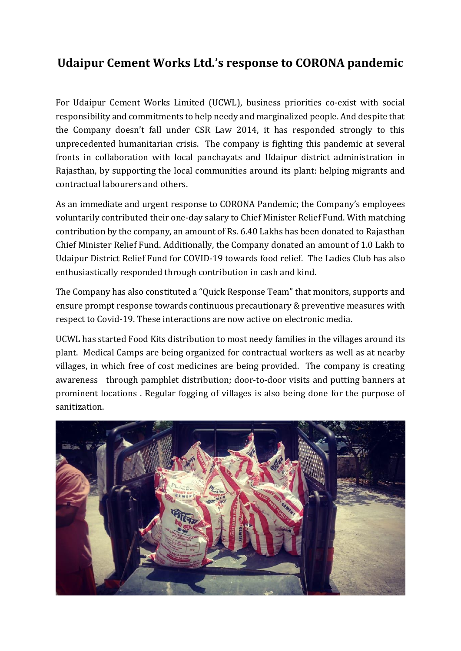## **Udaipur Cement Works Ltd.'s response to CORONA pandemic**

For Udaipur Cement Works Limited (UCWL), business priorities co-exist with social responsibility and commitments to help needy and marginalized people. And despite that the Company doesn't fall under CSR Law 2014, it has responded strongly to this unprecedented humanitarian crisis. The company is fighting this pandemic at several fronts in collaboration with local panchayats and Udaipur district administration in Rajasthan, by supporting the local communities around its plant: helping migrants and contractual labourers and others.

As an immediate and urgent response to CORONA Pandemic; the Company's employees voluntarily contributed their one-day salary to Chief Minister Relief Fund. With matching contribution by the company, an amount of Rs. 6.40 Lakhs has been donated to Rajasthan Chief Minister Relief Fund. Additionally, the Company donated an amount of 1.0 Lakh to Udaipur District Relief Fund for COVID-19 towards food relief. The Ladies Club has also enthusiastically responded through contribution in cash and kind.

The Company has also constituted a "Quick Response Team" that monitors, supports and ensure prompt response towards continuous precautionary & preventive measures with respect to Covid-19. These interactions are now active on electronic media.

UCWL has started Food Kits distribution to most needy families in the villages around its plant. Medical Camps are being organized for contractual workers as well as at nearby villages, in which free of cost medicines are being provided. The company is creating awareness through pamphlet distribution; door-to-door visits and putting banners at prominent locations . Regular fogging of villages is also being done for the purpose of sanitization.